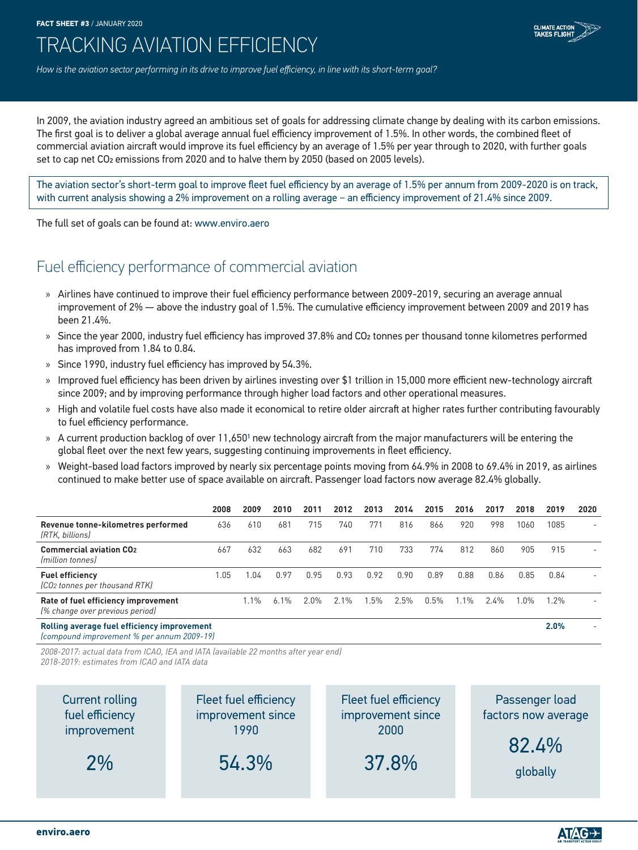**FACT SHEET #3** / JANUARY 2020



# TRACKING AVIATION EFFICIENCY

*How is the aviation sector performing in its drive to improve fuel efficiency, in line with its short-term goal?*

In 2009, the aviation industry agreed an ambitious set of goals for addressing climate change by dealing with its carbon emissions. The first goal is to deliver a global average annual fuel efficiency improvement of 1.5%. In other words, the combined fleet of commercial aviation aircraft would improve its fuel efficiency by an average of 1.5% per year through to 2020, with further goals set to cap net CO2 emissions from 2020 and to halve them by 2050 (based on 2005 levels).

The aviation sector's short-term goal to improve fleet fuel efficiency by an average of 1.5% per annum from 2009-2020 is on track, with current analysis showing a 2% improvement on a rolling average − an efficiency improvement of 21.4% since 2009.

The full set of goals can be found at: www.enviro.aero

## Fuel efficiency performance of commercial aviation

- » Airlines have continued to improve their fuel efficiency performance between 2009-2019, securing an average annual improvement of 2% — above the industry goal of 1.5%. The cumulative efficiency improvement between 2009 and 2019 has been 21.4%.
- » Since the year 2000, industry fuel efficiency has improved 37.8% and CO2 tonnes per thousand tonne kilometres performed has improved from 1.84 to 0.84.
- » Since 1990, industry fuel efficiency has improved by 54.3%.
- » Improved fuel efficiency has been driven by airlines investing over \$1 trillion in 15,000 more efficient new-technology aircraft since 2009; and by improving performance through higher load factors and other operational measures.
- » High and volatile fuel costs have also made it economical to retire older aircraft at higher rates further contributing favourably to fuel efficiency performance.
- » A current production backlog of over 11,6501 new technology aircraft from the major manufacturers will be entering the global fleet over the next few years, suggesting continuing improvements in fleet efficiency.
- » Weight-based load factors improved by nearly six percentage points moving from 64.9% in 2008 to 69.4% in 2019, as airlines continued to make better use of space available on aircraft. Passenger load factors now average 82.4% globally.

|                                                                        | 2008 | 2009  | 2010 | 2011 | 2012 | 2013 | 2014 | 2015 | 2016 | 2017 | 2018   | 2019    | 2020 |
|------------------------------------------------------------------------|------|-------|------|------|------|------|------|------|------|------|--------|---------|------|
| Revenue tonne-kilometres performed<br>(RTK, billions)                  | 636  | 610   | 681  | 715  | 740  | 771  | 816  | 866  | 920  | 998  | 1060   | 1085    | -    |
| <b>Commercial aviation CO2</b><br><i><u>Imillion tonnesl</u></i>       | 667  | 632   | 663  | 682  | 691  | 710  | 733  | 774  | 812  | 860  | 905    | 915     |      |
| <b>Fuel efficiency</b><br>(CO2 tonnes per thousand RTK)                | l.O5 | .04   | 0.97 | 0.95 | 0.93 | 0.92 | 0.90 | 0.89 | 0.88 | 0.86 | 0.85   | 0.84    |      |
| Rate of fuel efficiency improvement<br>(% change over previous period) |      | $1\%$ | 6.1% | 2.0% | 2.1% | .5%  | 2.5% | 0.5% | l.1% | 2.4% | $.0\%$ | $1.2\%$ |      |
| Rolling average fuel efficiency improvement                            |      |       |      |      |      |      |      |      |      |      |        | 2.0%    |      |

*(compound improvement % per annum 2009-19)*

*2008-2017: actual data from ICAO, IEA and IATA (available 22 months after year end)*

*2018-2019: estimates from ICAO and IATA data*